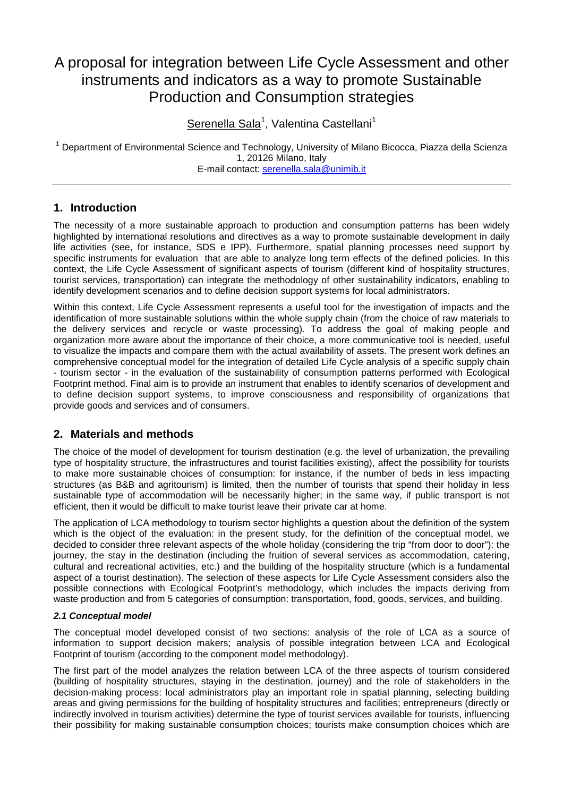# A proposal for integration between Life Cycle Assessment and other instruments and indicators as a way to promote Sustainable Production and Consumption strategies

Serenella Sala<sup>1</sup>, Valentina Castellani<sup>1</sup>

<sup>1</sup> Department of Environmental Science and Technology, University of Milano Bicocca, Piazza della Scienza 1, 20126 Milano, Italy E-mail contact: serenella.sala@unimib.it

## **1. Introduction**

The necessity of a more sustainable approach to production and consumption patterns has been widely highlighted by international resolutions and directives as a way to promote sustainable development in daily life activities (see, for instance, SDS e IPP). Furthermore, spatial planning processes need support by specific instruments for evaluation that are able to analyze long term effects of the defined policies. In this context, the Life Cycle Assessment of significant aspects of tourism (different kind of hospitality structures, tourist services, transportation) can integrate the methodology of other sustainability indicators, enabling to identify development scenarios and to define decision support systems for local administrators.

Within this context, Life Cycle Assessment represents a useful tool for the investigation of impacts and the identification of more sustainable solutions within the whole supply chain (from the choice of raw materials to the delivery services and recycle or waste processing). To address the goal of making people and organization more aware about the importance of their choice, a more communicative tool is needed, useful to visualize the impacts and compare them with the actual availability of assets. The present work defines an comprehensive conceptual model for the integration of detailed Life Cycle analysis of a specific supply chain - tourism sector - in the evaluation of the sustainability of consumption patterns performed with Ecological Footprint method. Final aim is to provide an instrument that enables to identify scenarios of development and to define decision support systems, to improve consciousness and responsibility of organizations that provide goods and services and of consumers.

## **2. Materials and methods**

The choice of the model of development for tourism destination (e.g. the level of urbanization, the prevailing type of hospitality structure, the infrastructures and tourist facilities existing), affect the possibility for tourists to make more sustainable choices of consumption: for instance, if the number of beds in less impacting structures (as B&B and agritourism) is limited, then the number of tourists that spend their holiday in less sustainable type of accommodation will be necessarily higher; in the same way, if public transport is not efficient, then it would be difficult to make tourist leave their private car at home.

The application of LCA methodology to tourism sector highlights a question about the definition of the system which is the object of the evaluation: in the present study, for the definition of the conceptual model, we decided to consider three relevant aspects of the whole holiday (considering the trip "from door to door"): the journey, the stay in the destination (including the fruition of several services as accommodation, catering, cultural and recreational activities, etc.) and the building of the hospitality structure (which is a fundamental aspect of a tourist destination). The selection of these aspects for Life Cycle Assessment considers also the possible connections with Ecological Footprint's methodology, which includes the impacts deriving from waste production and from 5 categories of consumption: transportation, food, goods, services, and building.

#### **2.1 Conceptual model**

The conceptual model developed consist of two sections: analysis of the role of LCA as a source of information to support decision makers; analysis of possible integration between LCA and Ecological Footprint of tourism (according to the component model methodology).

The first part of the model analyzes the relation between LCA of the three aspects of tourism considered (building of hospitality structures, staying in the destination, journey) and the role of stakeholders in the decision-making process: local administrators play an important role in spatial planning, selecting building areas and giving permissions for the building of hospitality structures and facilities; entrepreneurs (directly or indirectly involved in tourism activities) determine the type of tourist services available for tourists, influencing their possibility for making sustainable consumption choices; tourists make consumption choices which are